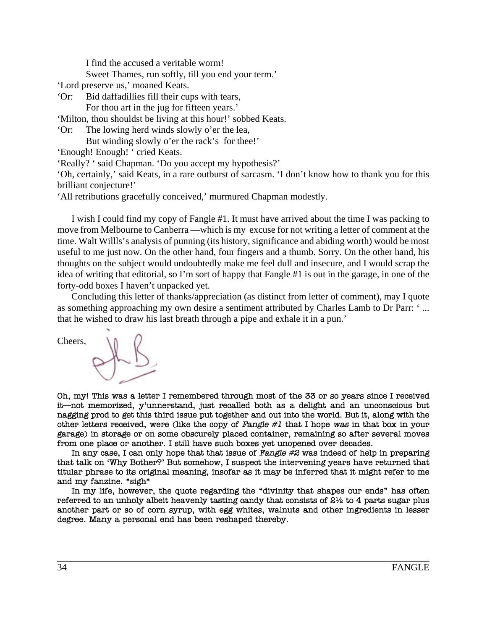I find the accused a veritable worm!

Sweet Thames, run softly, till you end your term.'

'Lord preserve us,' moaned Keats.

'Or: Bid daffadillies fill their cups with tears,

For thou art in the jug for fifteen years.'

'Milton, thou shouldst be living at this hour!' sobbed Keats.

'Or: The lowing herd winds slowly o'er the lea,

But winding slowly o'er the rack's for thee!'

'Enough! Enough! ' cried Keats.

'Really? ' said Chapman. 'Do you accept my hypothesis?'

'Oh, certainly,' said Keats, in a rare outburst of sarcasm. 'I don't know how to thank you for this brilliant conjecture!'

'All retributions gracefully conceived,' murmured Chapman modestly.

I wish I could find my copy of Fangle #1. It must have arrived about the time I was packing to move from Melbourne to Canberra —which is my excuse for not writing a letter of comment at the time. Walt Willls's analysis of punning (its history, significance and abiding worth) would be most useful to me just now. On the other hand, four fingers and a thumb. Sorry. On the other hand, his thoughts on the subject would undoubtedly make me feel dull and insecure, and I would scrap the idea of writing that editorial, so I'm sort of happy that Fangle #1 is out in the garage, in one of the forty-odd boxes I haven't unpacked yet.

Concluding this letter of thanks/appreciation (as distinct from letter of comment), may I quote as something approaching my own desire a sentiment attributed by Charles Lamb to Dr Parr: ' ... that he wished to draw his last breath through a pipe and exhale it in a pun.'

Cheers,

Oh, myl This was a letter I remembered through most of the 33 or so years since I received it—not memorized, y'unnerstand, just recalled both as a delight and an unconscious but nagging prod to get this third issue put together and out into the world. But it, along with the other letters received, were (like the copy of Fangle  $#1$  that I hope was in that box in your garage) in storage or on some obscurely placed container, remaining so after several moves from one place or another. I still have such boxes yet unopened over decades.

In any case, I can only hope that that issue of Fangle  $\#2$  was indeed of help in preparing that talk on 'Why Bother?' But somehow, I suspect the intervening years have returned that titular phrase to its original meaning, insofar as it may be inferred that it might refer to me and my fanzine. \*sigh\*

In my life, however, the quote regarding the "divinity that shapes our ends" has often referred to an unholy albeit heavenly tasting candy that consists of  $2\frac{1}{2}$  to 4 parts sugar plus another part or so of corn syrup, with egg whites, walnuts and other ingredients in lesser degree. Many a personal end has been reshaped thereby.